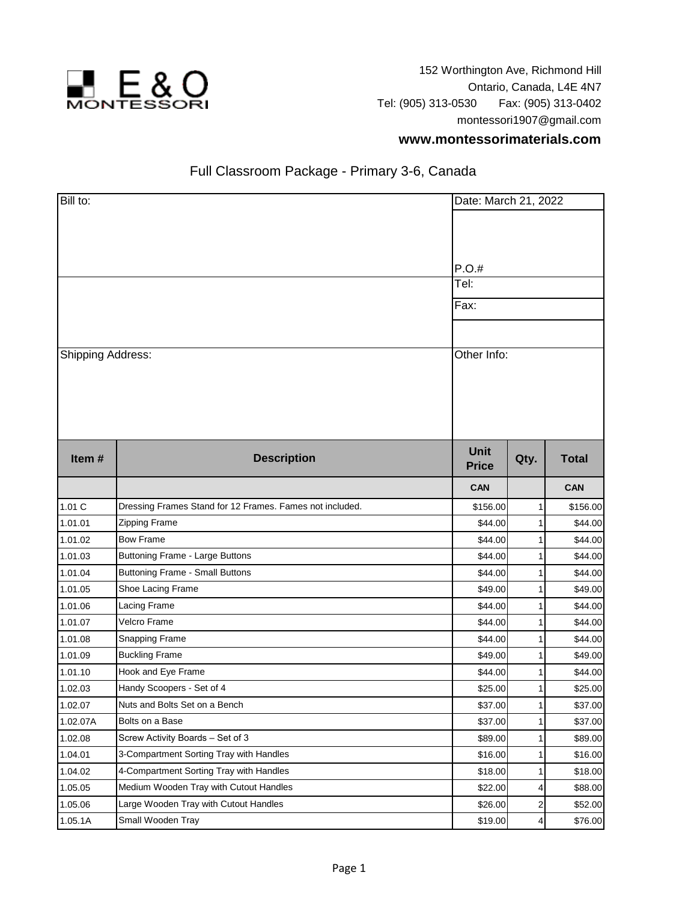

152 Worthington Ave, Richmond Hill Ontario, Canada, L4E 4N7 Tel: (905) 313-0530 Fax: (905) 313-0402 montessori1907@gmail.com

## **www.montessorimaterials.com**

## Full Classroom Package - Primary 3-6, Canada

| Bill to:          |                                                          | Date: March 21, 2022                 |                 |              |
|-------------------|----------------------------------------------------------|--------------------------------------|-----------------|--------------|
| Shipping Address: |                                                          | P.O.#<br>Tel:<br>Fax:<br>Other Info: |                 |              |
| Item#             | <b>Description</b>                                       | <b>Unit</b><br><b>Price</b>          | Qty.            | <b>Total</b> |
|                   |                                                          | <b>CAN</b>                           |                 | <b>CAN</b>   |
| 1.01 C            | Dressing Frames Stand for 12 Frames. Fames not included. | \$156.00                             | 11              | \$156.00     |
| 1.01.01           | Zipping Frame                                            | \$44.00                              |                 | \$44.00      |
| 1.01.02           | <b>Bow Frame</b>                                         | \$44.00                              |                 | \$44.00      |
| 1.01.03           | <b>Buttoning Frame - Large Buttons</b>                   | \$44.00                              |                 | \$44.00      |
| 1.01.04           | <b>Buttoning Frame - Small Buttons</b>                   | \$44.00                              |                 | \$44.00      |
| 1.01.05           | Shoe Lacing Frame                                        | \$49.00                              | 1               | \$49.00      |
| 1.01.06           | Lacing Frame                                             | \$44.00                              | $\mathbf{1}$    | \$44.00      |
| 1.01.07           | Velcro Frame                                             | \$44.00                              |                 | \$44.00      |
| 1.01.08           | Snapping Frame                                           | \$44.00                              |                 | \$44.00      |
| 1.01.09           | <b>Buckling Frame</b>                                    | \$49.00                              |                 | \$49.00      |
| 1.01.10           | Hook and Eye Frame                                       | \$44.00                              |                 | \$44.00      |
| 1.02.03           | Handy Scoopers - Set of 4                                | \$25.00                              | 1               | \$25.00      |
| 1.02.07           | Nuts and Bolts Set on a Bench                            | \$37.00                              | $\mathbf{1}$    | \$37.00      |
| 1.02.07A          | Bolts on a Base                                          | \$37.00                              | 1               | \$37.00      |
| 1.02.08           | Screw Activity Boards - Set of 3                         | \$89.00                              |                 | \$89.00      |
| 1.04.01           | 3-Compartment Sorting Tray with Handles                  | \$16.00                              |                 | \$16.00      |
| 1.04.02           | 4-Compartment Sorting Tray with Handles                  | \$18.00                              | 1               | \$18.00      |
| 1.05.05           | Medium Wooden Tray with Cutout Handles                   | \$22.00                              | 4               | \$88.00      |
| 1.05.06           | Large Wooden Tray with Cutout Handles                    | \$26.00                              | $\mathbf{2}$    | \$52.00      |
| 1.05.1A           | Small Wooden Tray                                        | \$19.00                              | $\vert 4 \vert$ | \$76.00      |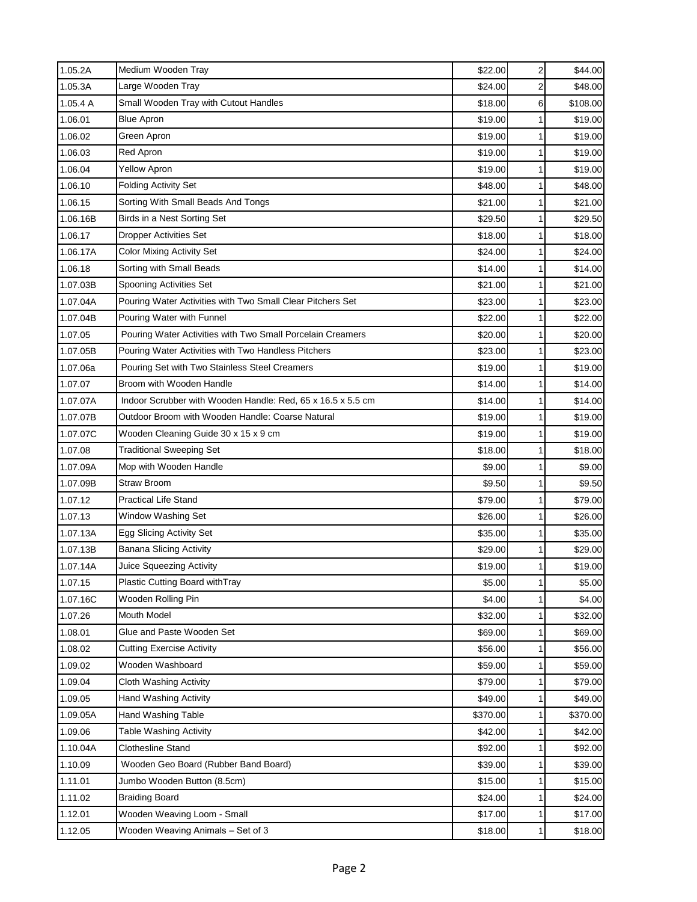| 1.05.2A  | Medium Wooden Tray                                          | \$22.00  | 2        | \$44.00  |
|----------|-------------------------------------------------------------|----------|----------|----------|
| 1.05.3A  | Large Wooden Tray                                           | \$24.00  | 2        | \$48.00  |
| 1.05.4A  | Small Wooden Tray with Cutout Handles                       | \$18.00  | $6 \mid$ | \$108.00 |
| 1.06.01  | <b>Blue Apron</b>                                           | \$19.00  | 1        | \$19.00  |
| 1.06.02  | Green Apron                                                 | \$19.00  | 1        | \$19.00  |
| 1.06.03  | Red Apron                                                   | \$19.00  | 1        | \$19.00  |
| 1.06.04  | <b>Yellow Apron</b>                                         | \$19.00  | 1        | \$19.00  |
| 1.06.10  | <b>Folding Activity Set</b>                                 | \$48.00  |          | \$48.00  |
| 1.06.15  | Sorting With Small Beads And Tongs                          | \$21.00  | 1        | \$21.00  |
| 1.06.16B | Birds in a Nest Sorting Set                                 | \$29.50  | 1        | \$29.50  |
| 1.06.17  | <b>Dropper Activities Set</b>                               | \$18.00  | 1        | \$18.00  |
| 1.06.17A | Color Mixing Activity Set                                   | \$24.00  | 1        | \$24.00  |
| 1.06.18  | Sorting with Small Beads                                    | \$14.00  | 1        | \$14.00  |
| 1.07.03B | Spooning Activities Set                                     | \$21.00  | 1        | \$21.00  |
| 1.07.04A | Pouring Water Activities with Two Small Clear Pitchers Set  | \$23.00  | 1        | \$23.00  |
| 1.07.04B | Pouring Water with Funnel                                   | \$22.00  | 1        | \$22.00  |
| 1.07.05  | Pouring Water Activities with Two Small Porcelain Creamers  | \$20.00  | 1        | \$20.00  |
| 1.07.05B | Pouring Water Activities with Two Handless Pitchers         | \$23.00  | 1        | \$23.00  |
| 1.07.06a | Pouring Set with Two Stainless Steel Creamers               | \$19.00  | 1        | \$19.00  |
| 1.07.07  | Broom with Wooden Handle                                    | \$14.00  | 1        | \$14.00  |
| 1.07.07A | Indoor Scrubber with Wooden Handle: Red, 65 x 16.5 x 5.5 cm | \$14.00  | 1        | \$14.00  |
| 1.07.07B | Outdoor Broom with Wooden Handle: Coarse Natural            | \$19.00  |          | \$19.00  |
| 1.07.07C | Wooden Cleaning Guide 30 x 15 x 9 cm                        | \$19.00  | 1        | \$19.00  |
| 1.07.08  | <b>Traditional Sweeping Set</b>                             | \$18.00  | 1        | \$18.00  |
| 1.07.09A | Mop with Wooden Handle                                      | \$9.00   | 1        | \$9.00   |
| 1.07.09B | <b>Straw Broom</b>                                          | \$9.50   | 1        | \$9.50   |
| 1.07.12  | <b>Practical Life Stand</b>                                 | \$79.00  |          | \$79.00  |
| 1.07.13  | Window Washing Set                                          | \$26.00  | 1        | \$26.00  |
| 1.07.13A | Egg Slicing Activity Set                                    | \$35.00  | 1        | \$35.00  |
| 1.07.13B | <b>Banana Slicing Activity</b>                              | \$29.00  | 1        | \$29.00  |
| 1.07.14A | Juice Squeezing Activity                                    | \$19.00  | 1        | \$19.00  |
| 1.07.15  | Plastic Cutting Board with Tray                             | \$5.00   | 1        | \$5.00   |
| 1.07.16C | Wooden Rolling Pin                                          | \$4.00   | 1        | \$4.00   |
| 1.07.26  | Mouth Model                                                 | \$32.00  | 1        | \$32.00  |
| 1.08.01  | Glue and Paste Wooden Set                                   | \$69.00  | 1        | \$69.00  |
| 1.08.02  | <b>Cutting Exercise Activity</b>                            | \$56.00  | 1        | \$56.00  |
| 1.09.02  | Wooden Washboard                                            | \$59.00  |          | \$59.00  |
| 1.09.04  | Cloth Washing Activity                                      | \$79.00  |          | \$79.00  |
| 1.09.05  | Hand Washing Activity                                       | \$49.00  |          | \$49.00  |
| 1.09.05A | <b>Hand Washing Table</b>                                   | \$370.00 | 1        | \$370.00 |
| 1.09.06  | Table Washing Activity                                      | \$42.00  | 1        | \$42.00  |
| 1.10.04A | <b>Clothesline Stand</b>                                    | \$92.00  | 1        | \$92.00  |
| 1.10.09  | Wooden Geo Board (Rubber Band Board)                        | \$39.00  | 1        | \$39.00  |
| 1.11.01  | Jumbo Wooden Button (8.5cm)                                 | \$15.00  | 1        | \$15.00  |
| 1.11.02  | <b>Braiding Board</b>                                       | \$24.00  | 1        | \$24.00  |
| 1.12.01  | Wooden Weaving Loom - Small                                 | \$17.00  | 1        | \$17.00  |
| 1.12.05  | Wooden Weaving Animals - Set of 3                           | \$18.00  | 1        | \$18.00  |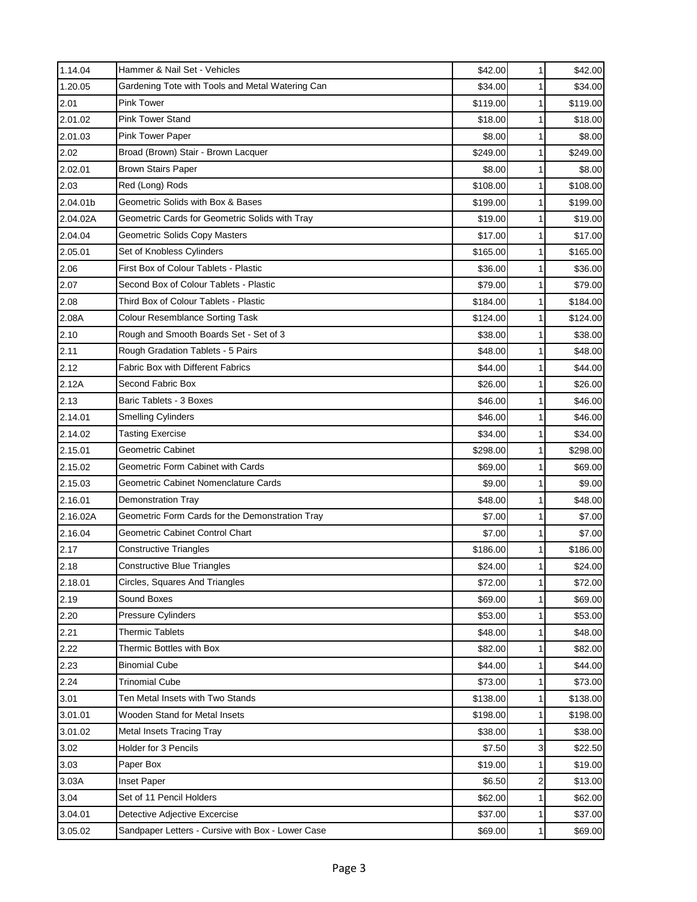| 1.14.04  | Hammer & Nail Set - Vehicles                      | \$42.00  | 1              | \$42.00  |
|----------|---------------------------------------------------|----------|----------------|----------|
| 1.20.05  | Gardening Tote with Tools and Metal Watering Can  | \$34.00  | 1              | \$34.00  |
| 2.01     | <b>Pink Tower</b>                                 | \$119.00 | 1              | \$119.00 |
| 2.01.02  | <b>Pink Tower Stand</b>                           | \$18.00  | 1              | \$18.00  |
| 2.01.03  | Pink Tower Paper                                  | \$8.00   | 1              | \$8.00   |
| 2.02     | Broad (Brown) Stair - Brown Lacquer               | \$249.00 | 1              | \$249.00 |
| 2.02.01  | <b>Brown Stairs Paper</b>                         | \$8.00   |                | \$8.00   |
| 2.03     | Red (Long) Rods                                   | \$108.00 | 1              | \$108.00 |
| 2.04.01b | Geometric Solids with Box & Bases                 | \$199.00 | 1              | \$199.00 |
| 2.04.02A | Geometric Cards for Geometric Solids with Tray    | \$19.00  | 1              | \$19.00  |
| 2.04.04  | Geometric Solids Copy Masters                     | \$17.00  | 1              | \$17.00  |
| 2.05.01  | Set of Knobless Cylinders                         | \$165.00 | 1              | \$165.00 |
| 2.06     | First Box of Colour Tablets - Plastic             | \$36.00  | 1              | \$36.00  |
| 2.07     | Second Box of Colour Tablets - Plastic            | \$79.00  | 1              | \$79.00  |
| 2.08     | Third Box of Colour Tablets - Plastic             | \$184.00 | 1              | \$184.00 |
| 2.08A    | <b>Colour Resemblance Sorting Task</b>            | \$124.00 | 1              | \$124.00 |
| 2.10     | Rough and Smooth Boards Set - Set of 3            | \$38.00  |                | \$38.00  |
| 2.11     | Rough Gradation Tablets - 5 Pairs                 | \$48.00  |                | \$48.00  |
| 2.12     | Fabric Box with Different Fabrics                 | \$44.00  | 1              | \$44.00  |
| 2.12A    | Second Fabric Box                                 | \$26.00  | 1              | \$26.00  |
| 2.13     | Baric Tablets - 3 Boxes                           | \$46.00  | 1              | \$46.00  |
| 2.14.01  | <b>Smelling Cylinders</b>                         | \$46.00  | 1              | \$46.00  |
| 2.14.02  | <b>Tasting Exercise</b>                           | \$34.00  | 1              | \$34.00  |
| 2.15.01  | Geometric Cabinet                                 | \$298.00 | 1              | \$298.00 |
| 2.15.02  | Geometric Form Cabinet with Cards                 | \$69.00  | 1              | \$69.00  |
| 2.15.03  | Geometric Cabinet Nomenclature Cards              | \$9.00   | 1              | \$9.00   |
| 2.16.01  | <b>Demonstration Tray</b>                         | \$48.00  |                | \$48.00  |
| 2.16.02A | Geometric Form Cards for the Demonstration Tray   | \$7.00   | 1              | \$7.00   |
| 2.16.04  | Geometric Cabinet Control Chart                   | \$7.00   | 1              | \$7.00   |
| 2.17     | Constructive Triangles                            | \$186.00 | 1              | \$186.00 |
| 2.18     | <b>Constructive Blue Triangles</b>                | \$24.00  | 1              | \$24.00  |
| 2.18.01  | Circles, Squares And Triangles                    | \$72.00  | 1              | \$72.00  |
| 2.19     | Sound Boxes                                       | \$69.00  | 1              | \$69.00  |
| 2.20     | Pressure Cylinders                                | \$53.00  | 1              | \$53.00  |
| 2.21     | <b>Thermic Tablets</b>                            | \$48.00  | 1              | \$48.00  |
| 2.22     | Thermic Bottles with Box                          | \$82.00  | 1              | \$82.00  |
| 2.23     | <b>Binomial Cube</b>                              | \$44.00  | 1              | \$44.00  |
| 2.24     | <b>Trinomial Cube</b>                             | \$73.00  | 1              | \$73.00  |
| 3.01     | Ten Metal Insets with Two Stands                  | \$138.00 | 1              | \$138.00 |
| 3.01.01  | Wooden Stand for Metal Insets                     | \$198.00 | 1              | \$198.00 |
| 3.01.02  | Metal Insets Tracing Tray                         | \$38.00  | 1              | \$38.00  |
| 3.02     | Holder for 3 Pencils                              | \$7.50   | 3              | \$22.50  |
| 3.03     | Paper Box                                         | \$19.00  | 1              | \$19.00  |
| 3.03A    | Inset Paper                                       | \$6.50   | $\overline{c}$ | \$13.00  |
| 3.04     | Set of 11 Pencil Holders                          | \$62.00  | 1              | \$62.00  |
| 3.04.01  | Detective Adjective Excercise                     | \$37.00  | 1              | \$37.00  |
| 3.05.02  | Sandpaper Letters - Cursive with Box - Lower Case | \$69.00  | 1              | \$69.00  |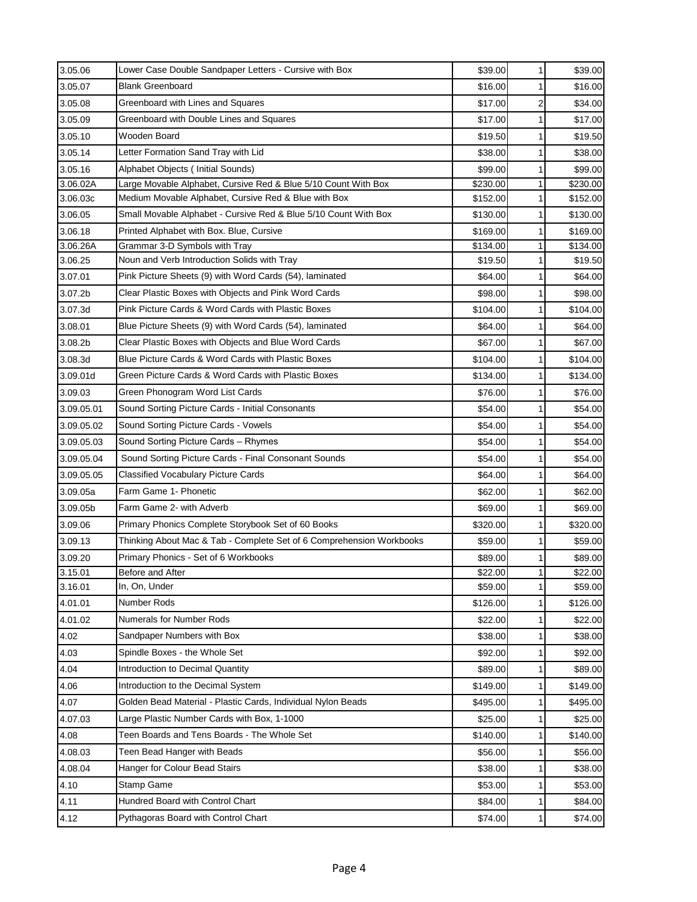| 3.05.06    | Lower Case Double Sandpaper Letters - Cursive with Box               | \$39.00  | 1 | \$39.00  |
|------------|----------------------------------------------------------------------|----------|---|----------|
| 3.05.07    | <b>Blank Greenboard</b>                                              | \$16.00  | 1 | \$16.00  |
| 3.05.08    | Greenboard with Lines and Squares                                    | \$17.00  | 2 | \$34.00  |
| 3.05.09    | Greenboard with Double Lines and Squares                             | \$17.00  | 1 | \$17.00  |
| 3.05.10    | Wooden Board                                                         | \$19.50  | 1 | \$19.50  |
| 3.05.14    | Letter Formation Sand Tray with Lid                                  | \$38.00  | 1 | \$38.00  |
| 3.05.16    | Alphabet Objects ( Initial Sounds)                                   | \$99.00  |   | \$99.00  |
| 3.06.02A   | Large Movable Alphabet, Cursive Red & Blue 5/10 Count With Box       | \$230.00 | 1 | \$230.00 |
| 3.06.03c   | Medium Movable Alphabet, Cursive Red & Blue with Box                 | \$152.00 |   | \$152.00 |
| 3.06.05    | Small Movable Alphabet - Cursive Red & Blue 5/10 Count With Box      | \$130.00 |   | \$130.00 |
| 3.06.18    | Printed Alphabet with Box. Blue, Cursive                             | \$169.00 | 1 | \$169.00 |
| 3.06.26A   | Grammar 3-D Symbols with Tray                                        | \$134.00 | 1 | \$134.00 |
| 3.06.25    | Noun and Verb Introduction Solids with Tray                          | \$19.50  |   | \$19.50  |
| 3.07.01    | Pink Picture Sheets (9) with Word Cards (54), laminated              | \$64.00  | 1 | \$64.00  |
| 3.07.2b    | Clear Plastic Boxes with Objects and Pink Word Cards                 | \$98.00  |   | \$98.00  |
| 3.07.3d    | Pink Picture Cards & Word Cards with Plastic Boxes                   | \$104.00 |   | \$104.00 |
| 3.08.01    | Blue Picture Sheets (9) with Word Cards (54), laminated              | \$64.00  |   | \$64.00  |
| 3.08.2b    | Clear Plastic Boxes with Objects and Blue Word Cards                 | \$67.00  |   | \$67.00  |
| 3.08.3d    | Blue Picture Cards & Word Cards with Plastic Boxes                   | \$104.00 | 1 | \$104.00 |
| 3.09.01d   | Green Picture Cards & Word Cards with Plastic Boxes                  | \$134.00 |   | \$134.00 |
| 3.09.03    | Green Phonogram Word List Cards                                      | \$76.00  | 1 | \$76.00  |
| 3.09.05.01 | Sound Sorting Picture Cards - Initial Consonants                     | \$54.00  | 1 | \$54.00  |
| 3.09.05.02 | Sound Sorting Picture Cards - Vowels                                 | \$54.00  | 1 | \$54.00  |
| 3.09.05.03 | Sound Sorting Picture Cards - Rhymes                                 | \$54.00  |   | \$54.00  |
| 3.09.05.04 | Sound Sorting Picture Cards - Final Consonant Sounds                 | \$54.00  |   | \$54.00  |
| 3.09.05.05 | Classified Vocabulary Picture Cards                                  | \$64.00  | 1 | \$64.00  |
| 3.09.05a   | Farm Game 1- Phonetic                                                | \$62.00  |   | \$62.00  |
| 3.09.05b   | Farm Game 2- with Adverb                                             | \$69.00  |   | \$69.00  |
| 3.09.06    | Primary Phonics Complete Storybook Set of 60 Books                   | \$320.00 |   | \$320.00 |
| 3.09.13    | Thinking About Mac & Tab - Complete Set of 6 Comprehension Workbooks | \$59.00  |   | \$59.00  |
| 3.09.20    | Primary Phonics - Set of 6 Workbooks                                 | \$89.00  |   | \$89.00  |
| 3.15.01    | Before and After                                                     | \$22.00  | 1 | \$22.00  |
| 3.16.01    | In, On, Under                                                        | \$59.00  | 1 | \$59.00  |
| 4.01.01    | Number Rods                                                          | \$126.00 |   | \$126.00 |
| 4.01.02    | <b>Numerals for Number Rods</b>                                      | \$22.00  | 1 | \$22.00  |
| 4.02       | Sandpaper Numbers with Box                                           | \$38.00  | 1 | \$38.00  |
| 4.03       | Spindle Boxes - the Whole Set                                        | \$92.00  |   | \$92.00  |
| 4.04       | Introduction to Decimal Quantity                                     | \$89.00  |   | \$89.00  |
| 4.06       | Introduction to the Decimal System                                   | \$149.00 |   | \$149.00 |
| 4.07       | Golden Bead Material - Plastic Cards, Individual Nylon Beads         | \$495.00 |   | \$495.00 |
| 4.07.03    | Large Plastic Number Cards with Box, 1-1000                          | \$25.00  |   | \$25.00  |
| 4.08       | Teen Boards and Tens Boards - The Whole Set                          | \$140.00 |   | \$140.00 |
| 4.08.03    | Teen Bead Hanger with Beads                                          | \$56.00  | 1 | \$56.00  |
| 4.08.04    | Hanger for Colour Bead Stairs                                        | \$38.00  | 1 | \$38.00  |
| 4.10       | Stamp Game                                                           | \$53.00  | 1 | \$53.00  |
| 4.11       | Hundred Board with Control Chart                                     | \$84.00  | 1 | \$84.00  |
| 4.12       | Pythagoras Board with Control Chart                                  | \$74.00  | 1 | \$74.00  |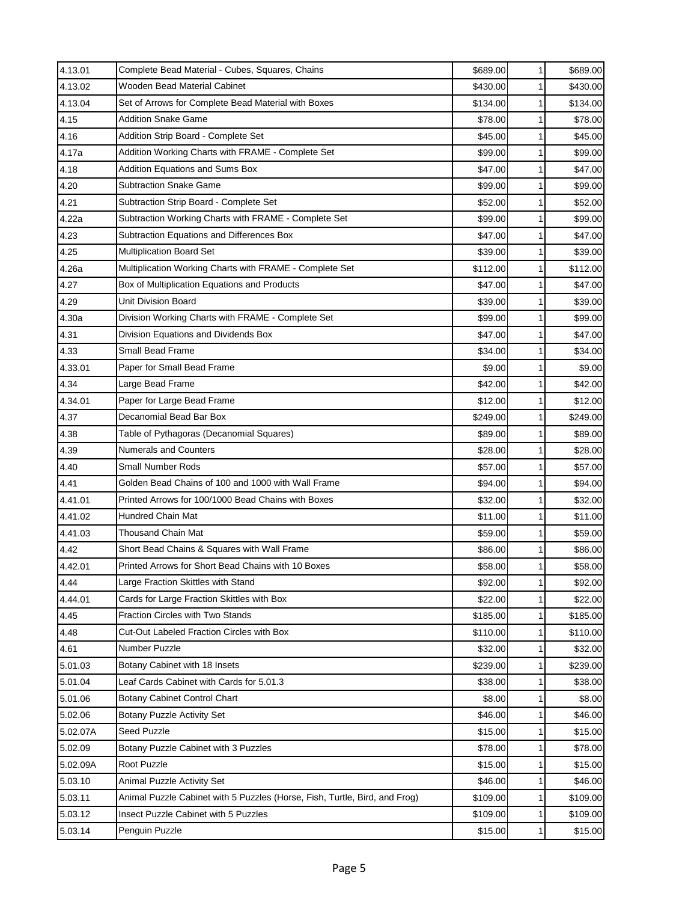| 4.13.01  | Complete Bead Material - Cubes, Squares, Chains                            | \$689.00 | 1 | \$689.00 |
|----------|----------------------------------------------------------------------------|----------|---|----------|
| 4.13.02  | Wooden Bead Material Cabinet                                               | \$430.00 | 1 | \$430.00 |
| 4.13.04  | Set of Arrows for Complete Bead Material with Boxes                        | \$134.00 |   | \$134.00 |
| 4.15     | Addition Snake Game                                                        | \$78.00  | 1 | \$78.00  |
| 4.16     | Addition Strip Board - Complete Set                                        | \$45.00  | 1 | \$45.00  |
| 4.17a    | Addition Working Charts with FRAME - Complete Set                          | \$99.00  | 1 | \$99.00  |
| 4.18     | Addition Equations and Sums Box                                            | \$47.00  |   | \$47.00  |
| 4.20     | <b>Subtraction Snake Game</b>                                              | \$99.00  | 1 | \$99.00  |
| 4.21     | Subtraction Strip Board - Complete Set                                     | \$52.00  | 1 | \$52.00  |
| 4.22a    | Subtraction Working Charts with FRAME - Complete Set                       | \$99.00  | 1 | \$99.00  |
| 4.23     | Subtraction Equations and Differences Box                                  | \$47.00  | 1 | \$47.00  |
| 4.25     | <b>Multiplication Board Set</b>                                            | \$39.00  | 1 | \$39.00  |
| 4.26a    | Multiplication Working Charts with FRAME - Complete Set                    | \$112.00 |   | \$112.00 |
| 4.27     | Box of Multiplication Equations and Products                               | \$47.00  | 1 | \$47.00  |
| 4.29     | <b>Unit Division Board</b>                                                 | \$39.00  | 1 | \$39.00  |
| 4.30a    | Division Working Charts with FRAME - Complete Set                          | \$99.00  | 1 | \$99.00  |
| 4.31     | Division Equations and Dividends Box                                       | \$47.00  |   | \$47.00  |
| 4.33     | Small Bead Frame                                                           | \$34.00  |   | \$34.00  |
| 4.33.01  | Paper for Small Bead Frame                                                 | \$9.00   | 1 | \$9.00   |
| 4.34     | Large Bead Frame                                                           | \$42.00  | 1 | \$42.00  |
| 4.34.01  | Paper for Large Bead Frame                                                 | \$12.00  | 1 | \$12.00  |
| 4.37     | Decanomial Bead Bar Box                                                    | \$249.00 |   | \$249.00 |
| 4.38     | Table of Pythagoras (Decanomial Squares)                                   | \$89.00  | 1 | \$89.00  |
| 4.39     | <b>Numerals and Counters</b>                                               | \$28.00  | 1 | \$28.00  |
| 4.40     | Small Number Rods                                                          | \$57.00  | 1 | \$57.00  |
| 4.41     | Golden Bead Chains of 100 and 1000 with Wall Frame                         | \$94.00  | 1 | \$94.00  |
| 4.41.01  | Printed Arrows for 100/1000 Bead Chains with Boxes                         | \$32.00  |   | \$32.00  |
| 4.41.02  | Hundred Chain Mat                                                          | \$11.00  | 1 | \$11.00  |
| 4.41.03  | Thousand Chain Mat                                                         | \$59.00  | 1 | \$59.00  |
| 4.42     | Short Bead Chains & Squares with Wall Frame                                | \$86.00  | 1 | \$86.00  |
| 4.42.01  | Printed Arrows for Short Bead Chains with 10 Boxes                         | \$58.00  | 1 | \$58.00  |
| 4.44     | Large Fraction Skittles with Stand                                         | \$92.00  | 1 | \$92.00  |
| 4.44.01  | Cards for Large Fraction Skittles with Box                                 | \$22.00  |   | \$22.00  |
| 4.45     | Fraction Circles with Two Stands                                           | \$185.00 | 1 | \$185.00 |
| 4.48     | Cut-Out Labeled Fraction Circles with Box                                  | \$110.00 | 1 | \$110.00 |
| 4.61     | Number Puzzle                                                              | \$32.00  | 1 | \$32.00  |
| 5.01.03  | Botany Cabinet with 18 Insets                                              | \$239.00 |   | \$239.00 |
| 5.01.04  | Leaf Cards Cabinet with Cards for 5.01.3                                   | \$38.00  |   | \$38.00  |
| 5.01.06  | <b>Botany Cabinet Control Chart</b>                                        | \$8.00   |   | \$8.00   |
| 5.02.06  | <b>Botany Puzzle Activity Set</b>                                          | \$46.00  | 1 | \$46.00  |
| 5.02.07A | Seed Puzzle                                                                | \$15.00  | 1 | \$15.00  |
| 5.02.09  | Botany Puzzle Cabinet with 3 Puzzles                                       | \$78.00  | 1 | \$78.00  |
| 5.02.09A | Root Puzzle                                                                | \$15.00  | 1 | \$15.00  |
| 5.03.10  | Animal Puzzle Activity Set                                                 | \$46.00  | 1 | \$46.00  |
| 5.03.11  | Animal Puzzle Cabinet with 5 Puzzles (Horse, Fish, Turtle, Bird, and Frog) | \$109.00 | 1 | \$109.00 |
| 5.03.12  | Insect Puzzle Cabinet with 5 Puzzles                                       | \$109.00 | 1 | \$109.00 |
| 5.03.14  | Penguin Puzzle                                                             | \$15.00  | 1 | \$15.00  |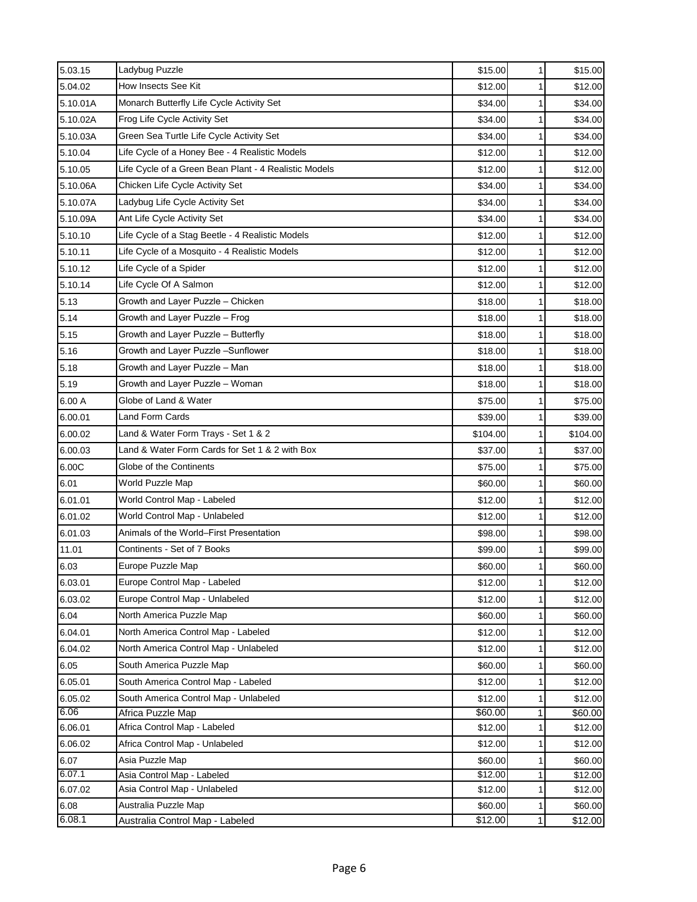| 5.03.15  | Ladybug Puzzle                                        | \$15.00  | 1 | \$15.00  |
|----------|-------------------------------------------------------|----------|---|----------|
| 5.04.02  | How Insects See Kit                                   | \$12.00  | 1 | \$12.00  |
| 5.10.01A | Monarch Butterfly Life Cycle Activity Set             | \$34.00  |   | \$34.00  |
| 5.10.02A | Frog Life Cycle Activity Set                          | \$34.00  | 1 | \$34.00  |
| 5.10.03A | Green Sea Turtle Life Cycle Activity Set              | \$34.00  | 1 | \$34.00  |
| 5.10.04  | Life Cycle of a Honey Bee - 4 Realistic Models        | \$12.00  | 1 | \$12.00  |
| 5.10.05  | Life Cycle of a Green Bean Plant - 4 Realistic Models | \$12.00  | 1 | \$12.00  |
| 5.10.06A | Chicken Life Cycle Activity Set                       | \$34.00  |   | \$34.00  |
| 5.10.07A | Ladybug Life Cycle Activity Set                       | \$34.00  | 1 | \$34.00  |
| 5.10.09A | Ant Life Cycle Activity Set                           | \$34.00  | 1 | \$34.00  |
| 5.10.10  | Life Cycle of a Stag Beetle - 4 Realistic Models      | \$12.00  | 1 | \$12.00  |
| 5.10.11  | Life Cycle of a Mosquito - 4 Realistic Models         | \$12.00  | 1 | \$12.00  |
| 5.10.12  | Life Cycle of a Spider                                | \$12.00  | 1 | \$12.00  |
| 5.10.14  | Life Cycle Of A Salmon                                | \$12.00  | 1 | \$12.00  |
| 5.13     | Growth and Layer Puzzle - Chicken                     | \$18.00  | 1 | \$18.00  |
| 5.14     | Growth and Layer Puzzle - Frog                        | \$18.00  | 1 | \$18.00  |
| 5.15     | Growth and Layer Puzzle - Butterfly                   | \$18.00  | 1 | \$18.00  |
| 5.16     | Growth and Layer Puzzle -Sunflower                    | \$18.00  | 1 | \$18.00  |
| 5.18     | Growth and Layer Puzzle - Man                         | \$18.00  | 1 | \$18.00  |
| 5.19     | Growth and Layer Puzzle - Woman                       | \$18.00  | 1 | \$18.00  |
| 6.00 A   | Globe of Land & Water                                 | \$75.00  | 1 | \$75.00  |
| 6.00.01  | Land Form Cards                                       | \$39.00  |   | \$39.00  |
| 6.00.02  | Land & Water Form Trays - Set 1 & 2                   | \$104.00 |   | \$104.00 |
| 6.00.03  | Land & Water Form Cards for Set 1 & 2 with Box        | \$37.00  | 1 | \$37.00  |
| 6.00C    | Globe of the Continents                               | \$75.00  | 1 | \$75.00  |
| 6.01     | World Puzzle Map                                      | \$60.00  | 1 | \$60.00  |
| 6.01.01  | World Control Map - Labeled                           | \$12.00  | 1 | \$12.00  |
| 6.01.02  | World Control Map - Unlabeled                         | \$12.00  | 1 | \$12.00  |
| 6.01.03  | Animals of the World–First Presentation               | \$98.00  | 1 | \$98.00  |
| 11.01    | Continents - Set of 7 Books                           | \$99.00  | 1 | \$99.00  |
| 6.03     | Europe Puzzle Map                                     | \$60.00  | 1 | \$60.00  |
| 6.03.01  | Europe Control Map - Labeled                          | \$12.00  | 1 | \$12.00  |
| 6.03.02  | Europe Control Map - Unlabeled                        | \$12.00  |   | \$12.00  |
| 6.04     | North America Puzzle Map                              | \$60.00  |   | \$60.00  |
| 6.04.01  | North America Control Map - Labeled                   | \$12.00  | 1 | \$12.00  |
| 6.04.02  | North America Control Map - Unlabeled                 | \$12.00  | 1 | \$12.00  |
| 6.05     | South America Puzzle Map                              | \$60.00  | 1 | \$60.00  |
| 6.05.01  | South America Control Map - Labeled                   | \$12.00  | 1 | \$12.00  |
| 6.05.02  | South America Control Map - Unlabeled                 | \$12.00  |   | \$12.00  |
| 6.06     | Africa Puzzle Map                                     | \$60.00  | 1 | \$60.00  |
| 6.06.01  | Africa Control Map - Labeled                          | \$12.00  | 1 | \$12.00  |
| 6.06.02  | Africa Control Map - Unlabeled                        | \$12.00  | 1 | \$12.00  |
| 6.07     | Asia Puzzle Map                                       | \$60.00  |   | \$60.00  |
| 6.07.1   | Asia Control Map - Labeled                            | \$12.00  | 1 | \$12.00  |
| 6.07.02  | Asia Control Map - Unlabeled                          | \$12.00  | 1 | \$12.00  |
| 6.08     | Australia Puzzle Map                                  | \$60.00  | 1 | \$60.00  |
| 6.08.1   | Australia Control Map - Labeled                       | \$12.00  | 1 | \$12.00  |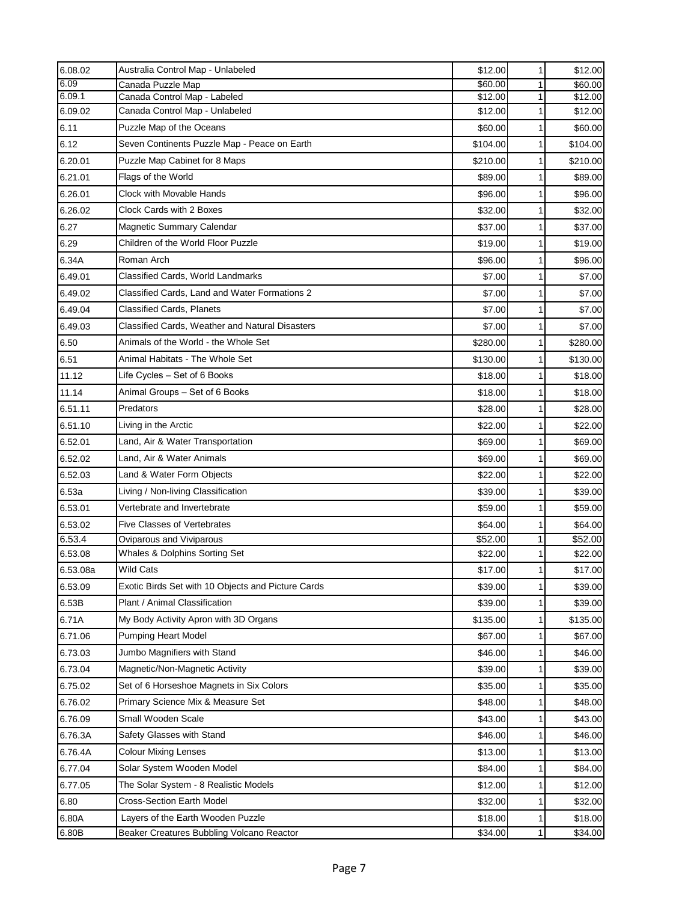| 6.08.02  | Australia Control Map - Unlabeled                  | \$12.00  | 1 | \$12.00  |
|----------|----------------------------------------------------|----------|---|----------|
| 6.09     | Canada Puzzle Map                                  | \$60.00  | 1 | \$60.00  |
| 6.09.1   | Canada Control Map - Labeled                       | \$12.00  | 1 | \$12.00  |
| 6.09.02  | Canada Control Map - Unlabeled                     | \$12.00  | 1 | \$12.00  |
| 6.11     | Puzzle Map of the Oceans                           | \$60.00  |   | \$60.00  |
| 6.12     | Seven Continents Puzzle Map - Peace on Earth       | \$104.00 |   | \$104.00 |
| 6.20.01  | Puzzle Map Cabinet for 8 Maps                      | \$210.00 | 1 | \$210.00 |
| 6.21.01  | Flags of the World                                 | \$89.00  | 1 | \$89.00  |
| 6.26.01  | Clock with Movable Hands                           | \$96.00  |   | \$96.00  |
| 6.26.02  | Clock Cards with 2 Boxes                           | \$32.00  | 1 | \$32.00  |
| 6.27     | Magnetic Summary Calendar                          | \$37.00  |   | \$37.00  |
| 6.29     | Children of the World Floor Puzzle                 | \$19.00  | 1 | \$19.00  |
| 6.34A    | Roman Arch                                         | \$96.00  |   | \$96.00  |
| 6.49.01  | Classified Cards, World Landmarks                  | \$7.00   |   | \$7.00   |
| 6.49.02  | Classified Cards, Land and Water Formations 2      | \$7.00   | 1 | \$7.00   |
| 6.49.04  | <b>Classified Cards, Planets</b>                   | \$7.00   |   | \$7.00   |
| 6.49.03  | Classified Cards, Weather and Natural Disasters    | \$7.00   | 1 | \$7.00   |
| 6.50     | Animals of the World - the Whole Set               | \$280.00 | 1 | \$280.00 |
| 6.51     | Animal Habitats - The Whole Set                    | \$130.00 | 1 | \$130.00 |
| 11.12    | Life Cycles - Set of 6 Books                       | \$18.00  |   | \$18.00  |
| 11.14    | Animal Groups - Set of 6 Books                     | \$18.00  | 1 | \$18.00  |
| 6.51.11  | Predators                                          | \$28.00  | 1 | \$28.00  |
| 6.51.10  | Living in the Arctic                               | \$22.00  | 1 | \$22.00  |
| 6.52.01  | Land, Air & Water Transportation                   | \$69.00  |   | \$69.00  |
| 6.52.02  | Land, Air & Water Animals                          | \$69.00  |   | \$69.00  |
| 6.52.03  | Land & Water Form Objects                          | \$22.00  | 1 | \$22.00  |
| 6.53a    | Living / Non-living Classification                 | \$39.00  | 1 | \$39.00  |
| 6.53.01  | Vertebrate and Invertebrate                        | \$59.00  | 1 | \$59.00  |
| 6.53.02  | <b>Five Classes of Vertebrates</b>                 | \$64.00  | 1 | \$64.00  |
| 6.53.4   | Oviparous and Viviparous                           | \$52.00  | 1 | \$52.00  |
| 6.53.08  | Whales & Dolphins Sorting Set                      | \$22.00  |   | \$22.00  |
| 6.53.08a | <b>Wild Cats</b>                                   | \$17.00  |   | \$17.00  |
| 6.53.09  | Exotic Birds Set with 10 Objects and Picture Cards | \$39.00  | 1 | \$39.00  |
| 6.53B    | Plant / Animal Classification                      | \$39.00  |   | \$39.00  |
| 6.71A    | My Body Activity Apron with 3D Organs              | \$135.00 |   | \$135.00 |
| 6.71.06  | <b>Pumping Heart Model</b>                         | \$67.00  |   | \$67.00  |
| 6.73.03  | Jumbo Magnifiers with Stand                        | \$46.00  |   | \$46.00  |
| 6.73.04  | Magnetic/Non-Magnetic Activity                     | \$39.00  | 1 | \$39.00  |
| 6.75.02  | Set of 6 Horseshoe Magnets in Six Colors           | \$35.00  | 1 | \$35.00  |
| 6.76.02  | Primary Science Mix & Measure Set                  | \$48.00  | 1 | \$48.00  |
| 6.76.09  | Small Wooden Scale                                 | \$43.00  |   | \$43.00  |
| 6.76.3A  | Safety Glasses with Stand                          | \$46.00  |   | \$46.00  |
| 6.76.4A  | <b>Colour Mixing Lenses</b>                        | \$13.00  |   | \$13.00  |
| 6.77.04  | Solar System Wooden Model                          | \$84.00  | 1 | \$84.00  |
| 6.77.05  | The Solar System - 8 Realistic Models              | \$12.00  | 1 | \$12.00  |
| 6.80     | <b>Cross-Section Earth Model</b>                   | \$32.00  | 1 | \$32.00  |
| 6.80A    | Layers of the Earth Wooden Puzzle                  | \$18.00  | 1 | \$18.00  |
| 6.80B    | Beaker Creatures Bubbling Volcano Reactor          | \$34.00  | 1 | \$34.00  |